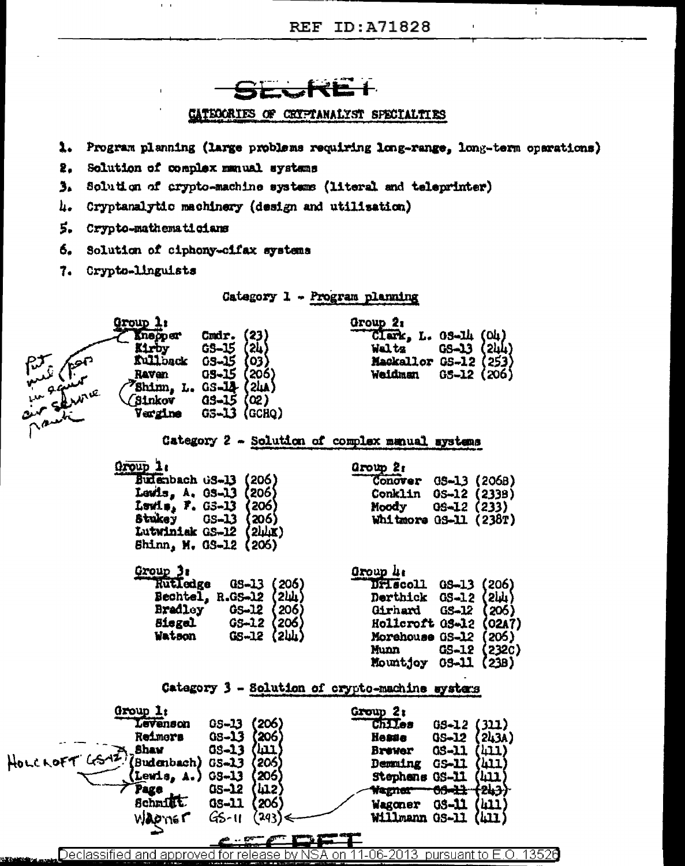

- 1. Program planning (large problems requiring long-range, long-term operations)
- 2. Solution of complex manual systems

 $\mathbf{r}=\mathbf{r}$ 

- 3. Solution of crypto-machine systems (literal and teleprinter)
- h. Cryptanalytic machinery (design and utilisation)
- 5. Crypto-mathematicians
- 6. Solution of ciphony-cifax systems
- 7. Crypto-linguists

Category 1 - Program planning